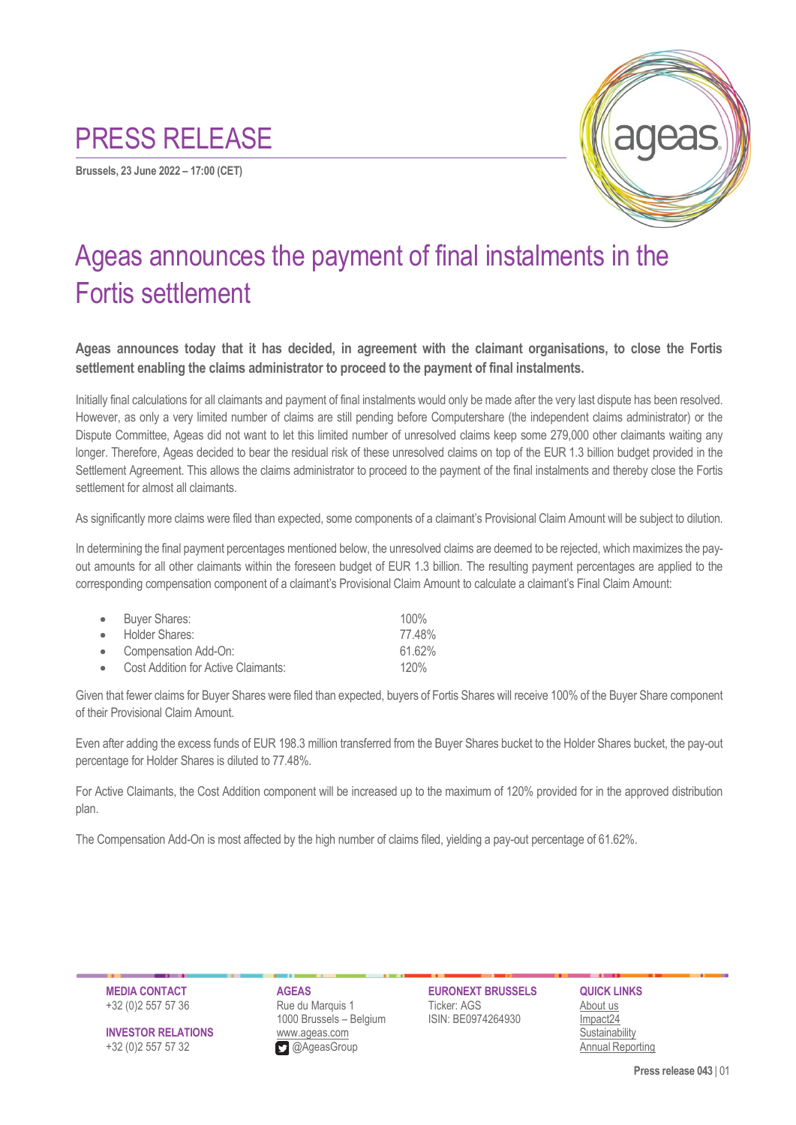## PRESS RELEASE

**Brussels, 23 June 2022 – 17:00 (CET)**



## Ageas announces the payment of final instalments in the Fortis settlement

**Ageas announces today that it has decided, in agreement with the claimant organisations, to close the Fortis settlement enabling the claims administrator to proceed to the payment of final instalments.**

Initially final calculations for all claimants and payment of final instalments would only be made after the very last dispute has been resolved. However, as only a very limited number of claims are still pending before Computershare (the independent claims administrator) or the Dispute Committee, Ageas did not want to let this limited number of unresolved claims keep some 279,000 other claimants waiting any longer. Therefore, Ageas decided to bear the residual risk of these unresolved claims on top of the EUR 1.3 billion budget provided in the Settlement Agreement. This allows the claims administrator to proceed to the payment of the final instalments and thereby close the Fortis settlement for almost all claimants.

As significantly more claims were filed than expected, some components of a claimant's Provisional Claim Amount will be subject to dilution.

In determining the final payment percentages mentioned below, the unresolved claims are deemed to be rejected, which maximizes the payout amounts for all other claimants within the foreseen budget of EUR 1.3 billion. The resulting payment percentages are applied to the corresponding compensation component of a claimant's Provisional Claim Amount to calculate a claimant's Final Claim Amount:

| • Buyer Shares:                       | $100\%$ |
|---------------------------------------|---------|
| • Holder Shares:                      | 77.48%  |
| • Compensation Add-On:                | 61.62%  |
| • Cost Addition for Active Claimants: | 120%    |

Given that fewer claims for Buyer Shares were filed than expected, buyers of Fortis Shares will receive 100% of the Buyer Share component of their Provisional Claim Amount.

Even after adding the excess funds of EUR 198.3 million transferred from the Buyer Shares bucket to the Holder Shares bucket, the pay-out percentage for Holder Shares is diluted to 77.48%.

For Active Claimants, the Cost Addition component will be increased up to the maximum of 120% provided for in the approved distribution plan.

The Compensation Add-On is most affected by the high number of claims filed, yielding a pay-out percentage of 61.62%.

+32 (0)2 557 57 36 Rue du Marquis 1 Ticker: AGS [About us](https://www.ageas.com/about/company) 1000 Brussels – Belgium ISIN: BE0974264930 [Impact24](https://strategy.ageas.com/impact24/) **INVESTOR RELATIONS** [www.ageas.com](http://www.ageas.com/) [Sustainability](https://sustainability.ageas.com/) +32 (0)2 557 57 32@AgeasGroup Annual [Reporting](https://reporting2021.ageas.com/)

**MEDIA CONTACT AGEAS EURONEXT BRUSSELS QUICK LINKS**

**Press release 043** | 01